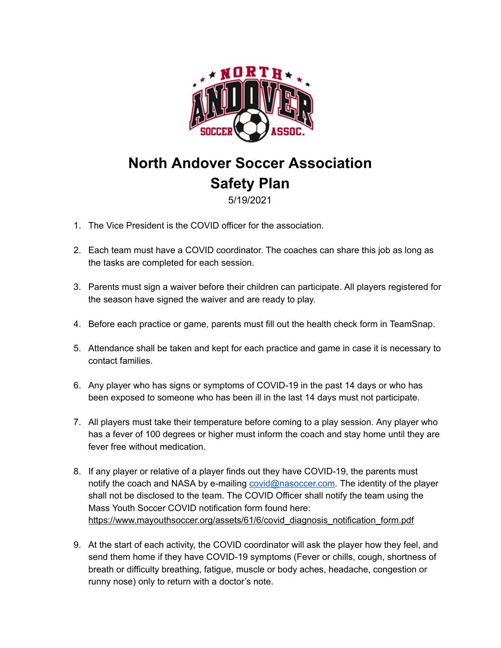

## **North Andover Soccer Association Safety Plan**

### 5/19/2021

- 1. The Vice President is the COVID officer for the association.
- 2. Each team must have a COVID coordinator. The coaches can share this job as long as the tasks are completed for each session.
- 3. Parents must sign a waiver before their children can participate. All players registered for the season have signed the waiver and are ready to play.
- 4. Before each practice or game, parents must fill out the health check form in TeamSnap.
- 5. Attendance shall be taken and kept for each practice and game in case it is necessary to contact families.
- 6. Any player who has signs or symptoms of COVID-19 in the past 14 days or who has been exposed to someone who has been ill in the last 14 days must not participate.
- 7. All players must take their temperature before coming to a play session. Any player who has a fever of 100 degrees or higher must inform the coach and stay home until they are fever free without medication.
- 8. If any player or relative of a player finds out they have COVID-19, the parents must notify the coach and NASA by e-mailing [covid@nasoccer.com.](mailto:covid@nasoccer.com) The identity of the player shall not be disclosed to the team. The COVID Officer shall notify the team using the Mass Youth Soccer COVID notification form found here: [https://www.mayouthsoccer.org/assets/61/6/covid\\_diagnosis\\_notification\\_form.pdf](https://www.mayouthsoccer.org/assets/61/6/covid_diagnosis_notification_form.pdf)
- 9. At the start of each activity, the COVID coordinator will ask the player how they feel, and send them home if they have COVID-19 symptoms (Fever or chills, cough, shortness of breath or difficulty breathing, fatigue, muscle or body aches, headache, congestion or runny nose) only to return with a doctor's note.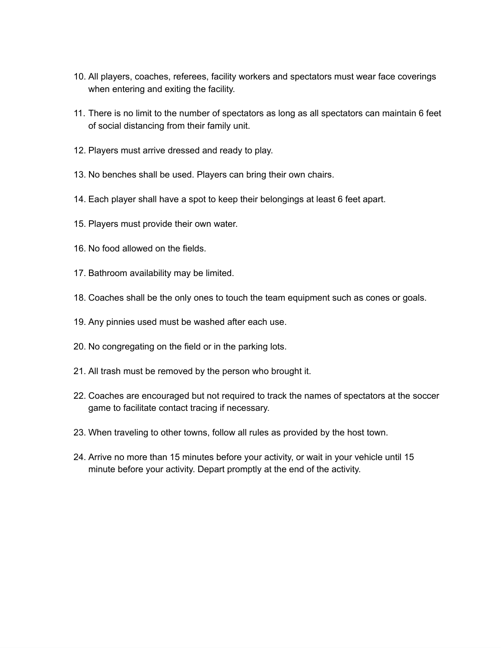- 10. All players, coaches, referees, facility workers and spectators must wear face coverings when entering and exiting the facility.
- 11. There is no limit to the number of spectators as long as all spectators can maintain 6 feet of social distancing from their family unit.
- 12. Players must arrive dressed and ready to play.
- 13. No benches shall be used. Players can bring their own chairs.
- 14. Each player shall have a spot to keep their belongings at least 6 feet apart.
- 15. Players must provide their own water.
- 16. No food allowed on the fields.
- 17. Bathroom availability may be limited.
- 18. Coaches shall be the only ones to touch the team equipment such as cones or goals.
- 19. Any pinnies used must be washed after each use.
- 20. No congregating on the field or in the parking lots.
- 21. All trash must be removed by the person who brought it.
- 22. Coaches are encouraged but not required to track the names of spectators at the soccer game to facilitate contact tracing if necessary.
- 23. When traveling to other towns, follow all rules as provided by the host town.
- 24. Arrive no more than 15 minutes before your activity, or wait in your vehicle until 15 minute before your activity. Depart promptly at the end of the activity.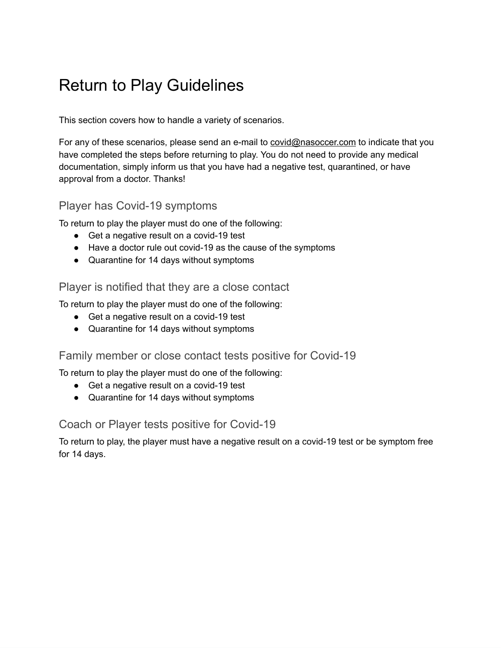# Return to Play Guidelines

This section covers how to handle a variety of scenarios.

For any of these scenarios, please send an e-mail to covid@nasoccer.com to indicate that you have completed the steps before returning to play. You do not need to provide any medical documentation, simply inform us that you have had a negative test, quarantined, or have approval from a doctor. Thanks!

### Player has Covid-19 symptoms

To return to play the player must do one of the following:

- Get a negative result on a covid-19 test
- Have a doctor rule out covid-19 as the cause of the symptoms
- Quarantine for 14 days without symptoms

### Player is notified that they are a close contact

To return to play the player must do one of the following:

- Get a negative result on a covid-19 test
- Quarantine for 14 days without symptoms

### Family member or close contact tests positive for Covid-19

To return to play the player must do one of the following:

- Get a negative result on a covid-19 test
- Quarantine for 14 days without symptoms

### Coach or Player tests positive for Covid-19

To return to play, the player must have a negative result on a covid-19 test or be symptom free for 14 days.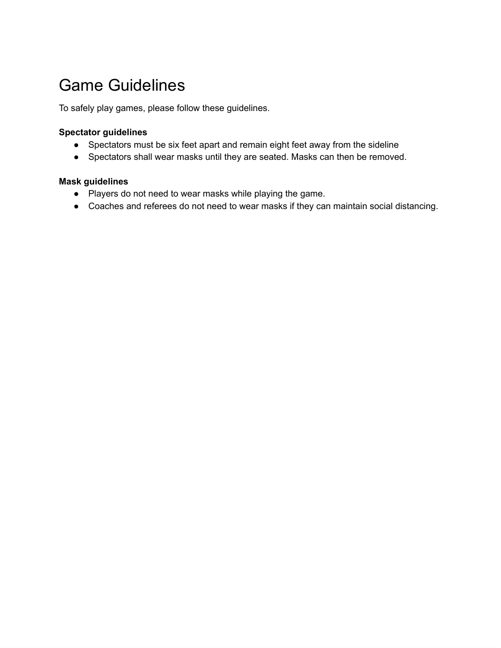# Game Guidelines

To safely play games, please follow these guidelines.

#### **Spectator guidelines**

- Spectators must be six feet apart and remain eight feet away from the sideline
- Spectators shall wear masks until they are seated. Masks can then be removed.

### **Mask guidelines**

- Players do not need to wear masks while playing the game.
- Coaches and referees do not need to wear masks if they can maintain social distancing.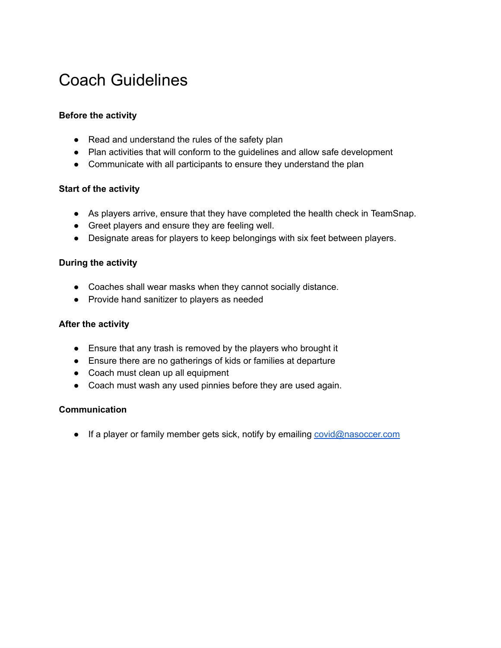## Coach Guidelines

#### **Before the activity**

- Read and understand the rules of the safety plan
- Plan activities that will conform to the guidelines and allow safe development
- Communicate with all participants to ensure they understand the plan

#### **Start of the activity**

- As players arrive, ensure that they have completed the health check in TeamSnap.
- Greet players and ensure they are feeling well.
- Designate areas for players to keep belongings with six feet between players.

#### **During the activity**

- Coaches shall wear masks when they cannot socially distance.
- Provide hand sanitizer to players as needed

#### **After the activity**

- Ensure that any trash is removed by the players who brought it
- Ensure there are no gatherings of kids or families at departure
- Coach must clean up all equipment
- Coach must wash any used pinnies before they are used again.

#### **Communication**

● If a player or family member gets sick, notify by emailing [covid@nasoccer.com](mailto:covid@nasoccer.com)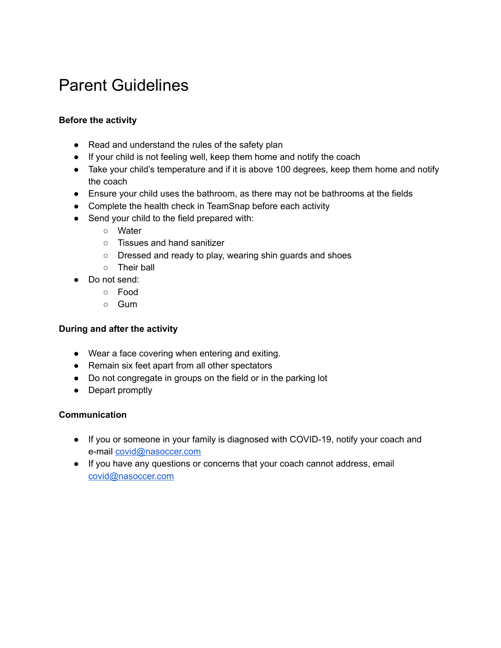# Parent Guidelines

#### **Before the activity**

- Read and understand the rules of the safety plan
- If your child is not feeling well, keep them home and notify the coach
- Take your child's temperature and if it is above 100 degrees, keep them home and notify the coach
- Ensure your child uses the bathroom, as there may not be bathrooms at the fields
- Complete the health check in TeamSnap before each activity
- Send your child to the field prepared with:
	- Water
	- Tissues and hand sanitizer
	- Dressed and ready to play, wearing shin guards and shoes
	- Their ball
- Do not send:
	- Food
	- Gum

#### **During and after the activity**

- Wear a face covering when entering and exiting.
- Remain six feet apart from all other spectators
- Do not congregate in groups on the field or in the parking lot
- Depart promptly

#### **Communication**

- If you or someone in your family is diagnosed with COVID-19, notify your coach and e-mail [covid@nasoccer.com](mailto:covid@nasoccer.com)
- If you have any questions or concerns that your coach cannot address, email [covid@nasoccer.com](mailto:covid@nasoccer.com)